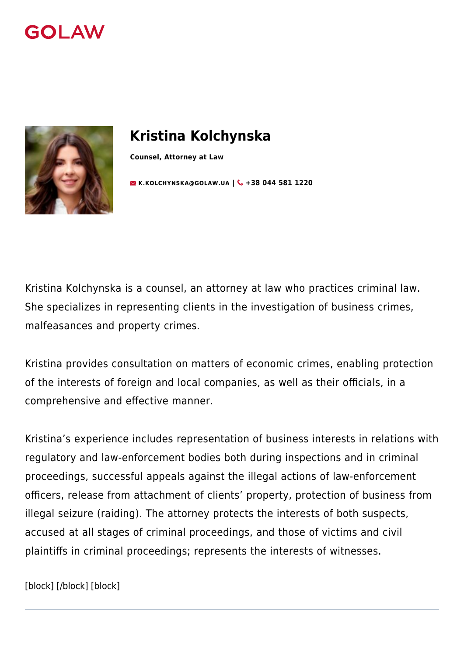



# **Kristina Kolchynska**

**Counsel, Attorney at Law**

**[K.KOLCHYNSKA@GOLAW.UA](mailto:info@golaw.ua) | & +38 044 581 1220** 

Kristina Kolchynska is а сounsel, an attorney at law who practices criminal law. She specializes in representing clients in the investigation of business crimes, malfeasances and property crimes.

Kristina provides consultation on matters of economic crimes, enabling protection of the interests of foreign and local companies, as well as their officials, in a comprehensive and effective manner.

Kristina's experience includes representation of business interests in relations with regulatory and law-enforcement bodies both during inspections and in criminal proceedings, successful appeals against the illegal actions of law-enforcement officers, release from attachment of clients' property, protection of business from illegal seizure (raiding). The attorney protects the interests of both suspects, accused at all stages of criminal proceedings, and those of victims and civil plaintiffs in criminal proceedings; represents the interests of witnesses.

[block] [/block] [block]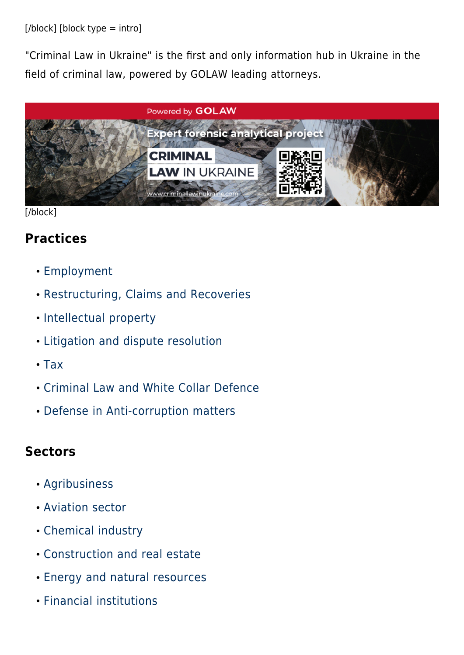[/block] [block type = intro]

"Criminal Law in Ukraine" is the first and only information hub in Ukraine in the field of criminal law, powered by GOLAW leading attorneys.



[/block]

#### **Practices**

- [Employment](#page--1-0)
- [Restructuring, Claims and Recoveries](#page--1-0)
- [Intellectual property](#page--1-0)
- [Litigation and dispute resolution](#page--1-0)
- $\cdot$  [Tax](#page--1-0)
- [Criminal Law and White Collar Defence](#page--1-0)
- [Defense in Anti-corruption matters](#page--1-0)

#### **Sectors**

- [Agribusiness](#page--1-0)
- [Aviation sector](#page--1-0)
- [Chemical industry](#page--1-0)
- [Construction and real estate](#page--1-0)
- [Energy and natural resources](#page--1-0)
- [Financial institutions](#page--1-0)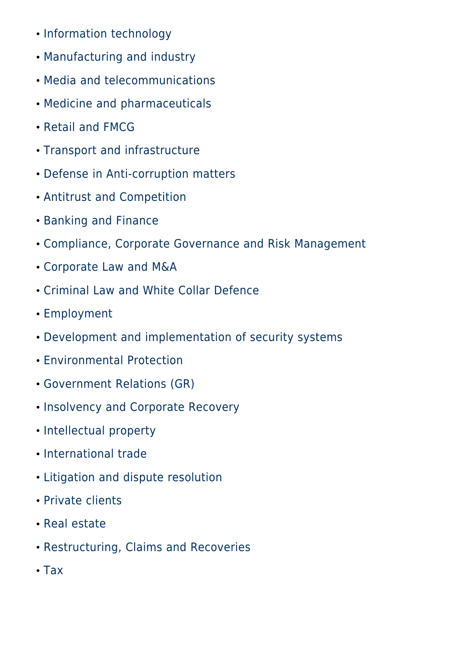- [Information technology](#page--1-0)
- [Manufacturing and industry](#page--1-0)
- [Media and telecommunications](#page--1-0)
- [Medicine and pharmaceuticals](#page--1-0)
- [Retail and FMCG](#page--1-0)
- [Transport and infrastructure](#page--1-0)
- [Defense in Anti-corruption matters](#page--1-0)
- [Antitrust and Competition](#page--1-0)
- [Banking and Finance](#page--1-0)
- [Compliance, Corporate Governance and Risk Management](#page--1-0)
- [Corporate Law and M&A](#page--1-0)
- [Criminal Law and White Collar Defence](#page--1-0)
- [Employment](#page--1-0)
- [Development and implementation of security systems](#page--1-0)
- [Environmental Protection](#page--1-0)
- [Government Relations \(GR\)](#page--1-0)
- [Insolvency and Corporate Recovery](#page--1-0)
- [Intellectual property](#page--1-0)
- [International trade](#page--1-0)
- [Litigation and dispute resolution](#page--1-0)
- [Private clients](#page--1-0)
- [Real estate](#page--1-0)
- [Restructuring, Claims and Recoveries](#page--1-0)
- $\cdot$  [Tax](#page--1-0)